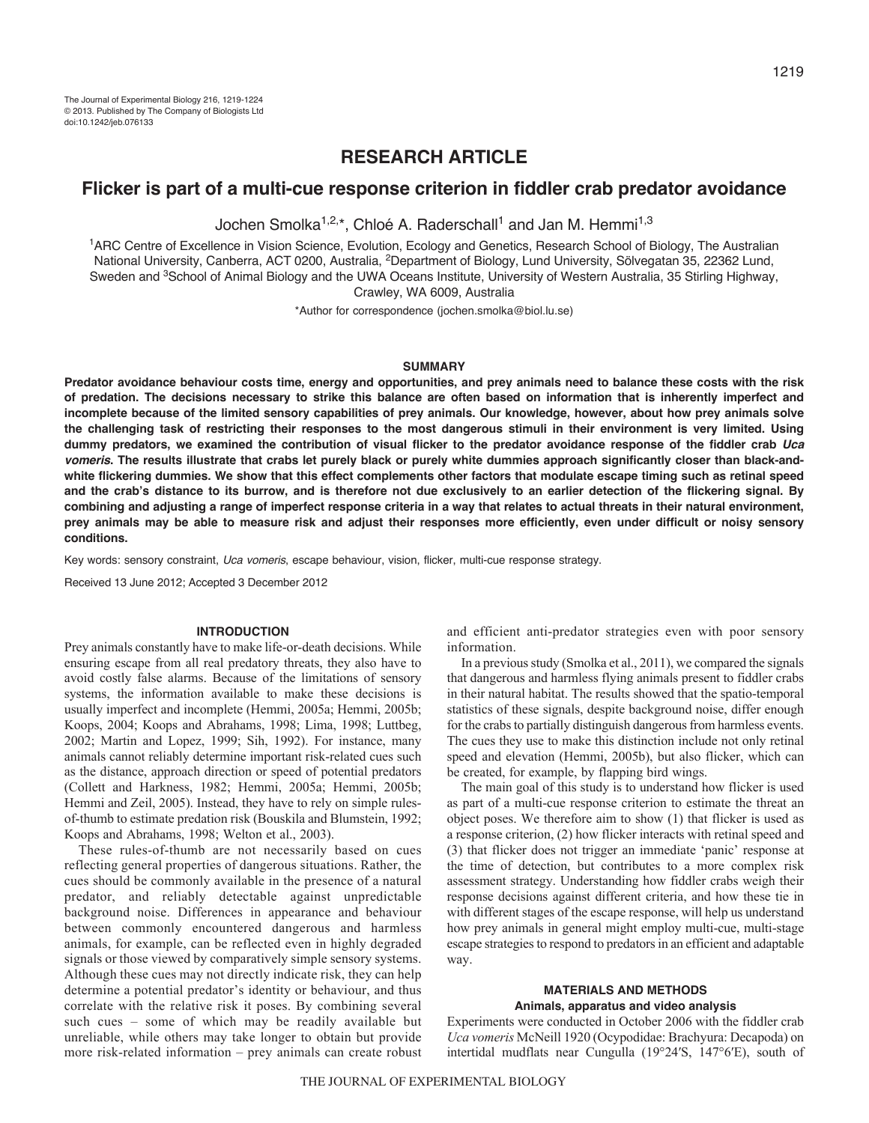# **RESEARCH ARTICLE**

## **Flicker is part of a multi-cue response criterion in fiddler crab predator avoidance**

Jochen Smolka<sup>1,2,\*</sup>, Chloé A. Raderschall<sup>1</sup> and Jan M. Hemmi<sup>1,3</sup>

1ARC Centre of Excellence in Vision Science, Evolution, Ecology and Genetics, Research School of Biology, The Australian National University, Canberra, ACT 0200, Australia, 2Department of Biology, Lund University, Sölvegatan 35, 22362 Lund, Sweden and <sup>3</sup>School of Animal Biology and the UWA Oceans Institute, University of Western Australia, 35 Stirling Highway, Crawley, WA 6009, Australia

\*Author for correspondence (jochen.smolka@biol.lu.se)

#### **SUMMARY**

**Predator avoidance behaviour costs time, energy and opportunities, and prey animals need to balance these costs with the risk of predation. The decisions necessary to strike this balance are often based on information that is inherently imperfect and incomplete because of the limited sensory capabilities of prey animals. Our knowledge, however, about how prey animals solve the challenging task of restricting their responses to the most dangerous stimuli in their environment is very limited. Using dummy predators, we examined the contribution of visual flicker to the predator avoidance response of the fiddler crab** *Uca vomeris***. The results illustrate that crabs let purely black or purely white dummies approach significantly closer than black-andwhite flickering dummies. We show that this effect complements other factors that modulate escape timing such as retinal speed and the crab's distance to its burrow, and is therefore not due exclusively to an earlier detection of the flickering signal. By combining and adjusting a range of imperfect response criteria in a way that relates to actual threats in their natural environment, prey animals may be able to measure risk and adjust their responses more efficiently, even under difficult or noisy sensory conditions.**

Key words: sensory constraint, *Uca vomeris*, escape behaviour, vision, flicker, multi-cue response strategy.

Received 13 June 2012; Accepted 3 December 2012

#### **INTRODUCTION**

Prey animals constantly have to make life-or-death decisions. While ensuring escape from all real predatory threats, they also have to avoid costly false alarms. Because of the limitations of sensory systems, the information available to make these decisions is usually imperfect and incomplete (Hemmi, 2005a; Hemmi, 2005b; Koops, 2004; Koops and Abrahams, 1998; Lima, 1998; Luttbeg, 2002; Martin and Lopez, 1999; Sih, 1992). For instance, many animals cannot reliably determine important risk-related cues such as the distance, approach direction or speed of potential predators (Collett and Harkness, 1982; Hemmi, 2005a; Hemmi, 2005b; Hemmi and Zeil, 2005). Instead, they have to rely on simple rulesof-thumb to estimate predation risk (Bouskila and Blumstein, 1992; Koops and Abrahams, 1998; Welton et al., 2003).

These rules-of-thumb are not necessarily based on cues reflecting general properties of dangerous situations. Rather, the cues should be commonly available in the presence of a natural predator, and reliably detectable against unpredictable background noise. Differences in appearance and behaviour between commonly encountered dangerous and harmless animals, for example, can be reflected even in highly degraded signals or those viewed by comparatively simple sensory systems. Although these cues may not directly indicate risk, they can help determine a potential predator's identity or behaviour, and thus correlate with the relative risk it poses. By combining several such cues – some of which may be readily available but unreliable, while others may take longer to obtain but provide more risk-related information – prey animals can create robust

and efficient anti-predator strategies even with poor sensory information.

In a previous study (Smolka et al., 2011), we compared the signals that dangerous and harmless flying animals present to fiddler crabs in their natural habitat. The results showed that the spatio-temporal statistics of these signals, despite background noise, differ enough for the crabs to partially distinguish dangerous from harmless events. The cues they use to make this distinction include not only retinal speed and elevation (Hemmi, 2005b), but also flicker, which can be created, for example, by flapping bird wings.

The main goal of this study is to understand how flicker is used as part of a multi-cue response criterion to estimate the threat an object poses. We therefore aim to show (1) that flicker is used as a response criterion, (2) how flicker interacts with retinal speed and (3) that flicker does not trigger an immediate 'panic' response at the time of detection, but contributes to a more complex risk assessment strategy. Understanding how fiddler crabs weigh their response decisions against different criteria, and how these tie in with different stages of the escape response, will help us understand how prey animals in general might employ multi-cue, multi-stage escape strategies to respond to predators in an efficient and adaptable way.

## **MATERIALS AND METHODS Animals, apparatus and video analysis**

Experiments were conducted in October 2006 with the fiddler crab *Uca vomeris* McNeill 1920 (Ocypodidae: Brachyura: Decapoda) on intertidal mudflats near Cungulla (19°24′S, 147°6′E), south of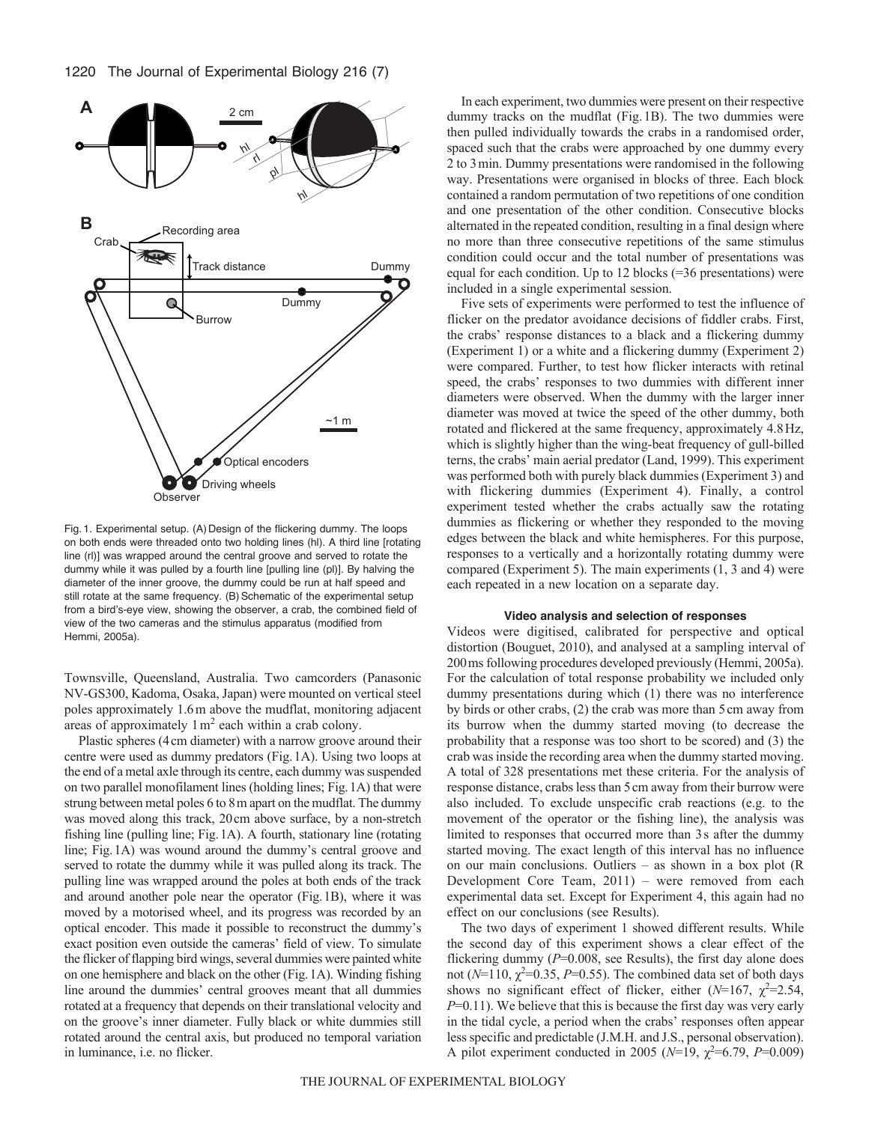

Fig. 1. Experimental setup. (A) Design of the flickering dummy. The loops on both ends were threaded onto two holding lines (hl). A third line [rotating line (rl)] was wrapped around the central groove and served to rotate the dummy while it was pulled by a fourth line [pulling line (pl)]. By halving the diameter of the inner groove, the dummy could be run at half speed and still rotate at the same frequency. (B) Schematic of the experimental setup from a bird's-eye view, showing the observer, a crab, the combined field of view of the two cameras and the stimulus apparatus (modified from Hemmi, 2005a).

Townsville, Queensland, Australia. Two camcorders (Panasonic NV-GS300, Kadoma, Osaka, Japan) were mounted on vertical steel poles approximately 1.6m above the mudflat, monitoring adjacent areas of approximately  $1 \text{ m}^2$  each within a crab colony.

Plastic spheres (4cm diameter) with a narrow groove around their centre were used as dummy predators (Fig.1A). Using two loops at the end of a metal axle through its centre, each dummy was suspended on two parallel monofilament lines (holding lines; Fig.1A) that were strung between metal poles 6 to 8m apart on the mudflat. The dummy was moved along this track, 20cm above surface, by a non-stretch fishing line (pulling line; Fig.1A). A fourth, stationary line (rotating line; Fig.1A) was wound around the dummy's central groove and served to rotate the dummy while it was pulled along its track. The pulling line was wrapped around the poles at both ends of the track and around another pole near the operator (Fig.1B), where it was moved by a motorised wheel, and its progress was recorded by an optical encoder. This made it possible to reconstruct the dummy's exact position even outside the cameras' field of view. To simulate the flicker of flapping bird wings, several dummies were painted white on one hemisphere and black on the other (Fig.1A). Winding fishing line around the dummies' central grooves meant that all dummies rotated at a frequency that depends on their translational velocity and on the groove's inner diameter. Fully black or white dummies still rotated around the central axis, but produced no temporal variation in luminance, i.e. no flicker.

In each experiment, two dummies were present on their respective dummy tracks on the mudflat (Fig.1B). The two dummies were then pulled individually towards the crabs in a randomised order, spaced such that the crabs were approached by one dummy every 2 to 3min. Dummy presentations were randomised in the following way. Presentations were organised in blocks of three. Each block contained a random permutation of two repetitions of one condition and one presentation of the other condition. Consecutive blocks alternated in the repeated condition, resulting in a final design where no more than three consecutive repetitions of the same stimulus condition could occur and the total number of presentations was equal for each condition. Up to 12 blocks (=36 presentations) were included in a single experimental session.

Five sets of experiments were performed to test the influence of flicker on the predator avoidance decisions of fiddler crabs. First, the crabs' response distances to a black and a flickering dummy (Experiment 1) or a white and a flickering dummy (Experiment 2) were compared. Further, to test how flicker interacts with retinal speed, the crabs' responses to two dummies with different inner diameters were observed. When the dummy with the larger inner diameter was moved at twice the speed of the other dummy, both rotated and flickered at the same frequency, approximately 4.8Hz, which is slightly higher than the wing-beat frequency of gull-billed terns, the crabs' main aerial predator (Land, 1999). This experiment was performed both with purely black dummies (Experiment 3) and with flickering dummies (Experiment 4). Finally, a control experiment tested whether the crabs actually saw the rotating dummies as flickering or whether they responded to the moving edges between the black and white hemispheres. For this purpose, responses to a vertically and a horizontally rotating dummy were compared (Experiment 5). The main experiments (1, 3 and 4) were each repeated in a new location on a separate day.

#### **Video analysis and selection of responses**

Videos were digitised, calibrated for perspective and optical distortion (Bouguet, 2010), and analysed at a sampling interval of 200ms following procedures developed previously (Hemmi, 2005a). For the calculation of total response probability we included only dummy presentations during which (1) there was no interference by birds or other crabs, (2) the crab was more than 5cm away from its burrow when the dummy started moving (to decrease the probability that a response was too short to be scored) and (3) the crab was inside the recording area when the dummy started moving. A total of 328 presentations met these criteria. For the analysis of response distance, crabs less than 5cm away from their burrow were also included. To exclude unspecific crab reactions (e.g. to the movement of the operator or the fishing line), the analysis was limited to responses that occurred more than 3s after the dummy started moving. The exact length of this interval has no influence on our main conclusions. Outliers – as shown in a box plot (R Development Core Team, 2011) – were removed from each experimental data set. Except for Experiment 4, this again had no effect on our conclusions (see Results).

The two days of experiment 1 showed different results. While the second day of this experiment shows a clear effect of the flickering dummy  $(P=0.008)$ , see Results), the first day alone does not  $(N=110, \chi^2=0.35, P=0.55)$ . The combined data set of both days shows no significant effect of flicker, either  $(N=167, \chi^2=2.54,$ *P*=0.11). We believe that this is because the first day was very early in the tidal cycle, a period when the crabs' responses often appear less specific and predictable (J.M.H. and J.S., personal observation). A pilot experiment conducted in 2005 ( $N=19$ ,  $\chi^2=6.79$ ,  $P=0.009$ )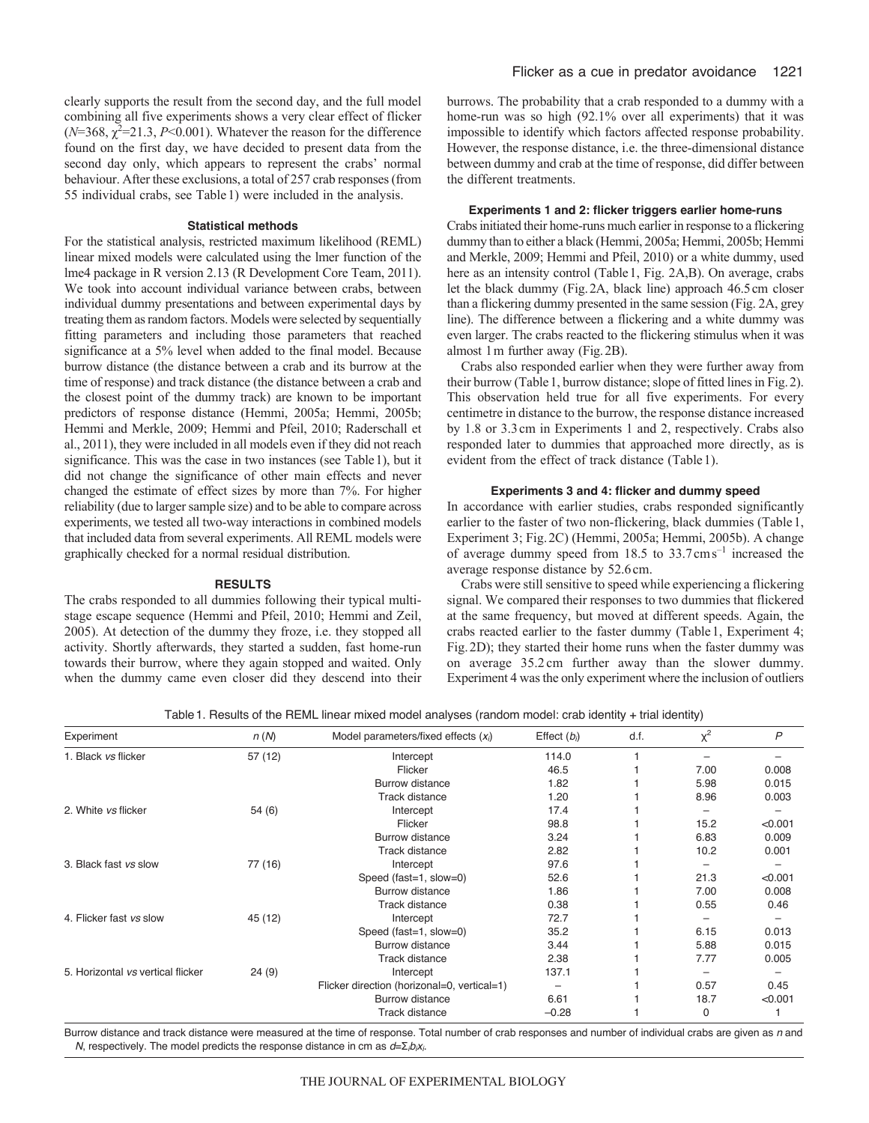clearly supports the result from the second day, and the full model combining all five experiments shows a very clear effect of flicker  $(N=368, \chi^2=21.3, P<0.001)$ . Whatever the reason for the difference found on the first day, we have decided to present data from the second day only, which appears to represent the crabs' normal behaviour. After these exclusions, a total of 257 crab responses (from 55 individual crabs, see Table1) were included in the analysis.

## **Statistical methods**

For the statistical analysis, restricted maximum likelihood (REML) linear mixed models were calculated using the lmer function of the lme4 package in R version 2.13 (R Development Core Team, 2011). We took into account individual variance between crabs, between individual dummy presentations and between experimental days by treating them as random factors. Models were selected by sequentially fitting parameters and including those parameters that reached significance at a 5% level when added to the final model. Because burrow distance (the distance between a crab and its burrow at the time of response) and track distance (the distance between a crab and the closest point of the dummy track) are known to be important predictors of response distance (Hemmi, 2005a; Hemmi, 2005b; Hemmi and Merkle, 2009; Hemmi and Pfeil, 2010; Raderschall et al., 2011), they were included in all models even if they did not reach significance. This was the case in two instances (see Table1), but it did not change the significance of other main effects and never changed the estimate of effect sizes by more than 7%. For higher reliability (due to larger sample size) and to be able to compare across experiments, we tested all two-way interactions in combined models that included data from several experiments. All REML models were graphically checked for a normal residual distribution.

#### **RESULTS**

The crabs responded to all dummies following their typical multistage escape sequence (Hemmi and Pfeil, 2010; Hemmi and Zeil, 2005). At detection of the dummy they froze, i.e. they stopped all activity. Shortly afterwards, they started a sudden, fast home-run towards their burrow, where they again stopped and waited. Only when the dummy came even closer did they descend into their

burrows. The probability that a crab responded to a dummy with a home-run was so high (92.1% over all experiments) that it was impossible to identify which factors affected response probability. However, the response distance, i.e. the three-dimensional distance between dummy and crab at the time of response, did differ between the different treatments.

### **Experiments 1 and 2: flicker triggers earlier home-runs**

Crabs initiated their home-runs much earlier in response to a flickering dummy than to either a black (Hemmi, 2005a; Hemmi, 2005b; Hemmi and Merkle, 2009; Hemmi and Pfeil, 2010) or a white dummy, used here as an intensity control (Table1, Fig. 2A,B). On average, crabs let the black dummy (Fig.2A, black line) approach 46.5cm closer than a flickering dummy presented in the same session (Fig. 2A, grey line). The difference between a flickering and a white dummy was even larger. The crabs reacted to the flickering stimulus when it was almost 1m further away (Fig.2B).

Crabs also responded earlier when they were further away from their burrow (Table1, burrow distance; slope of fitted lines in Fig.2). This observation held true for all five experiments. For every centimetre in distance to the burrow, the response distance increased by 1.8 or 3.3cm in Experiments 1 and 2, respectively. Crabs also responded later to dummies that approached more directly, as is evident from the effect of track distance (Table1).

### **Experiments 3 and 4: flicker and dummy speed**

In accordance with earlier studies, crabs responded significantly earlier to the faster of two non-flickering, black dummies (Table1, Experiment 3; Fig.2C) (Hemmi, 2005a; Hemmi, 2005b). A change of average dummy speed from 18.5 to 33.7cms–1 increased the average response distance by 52.6cm.

Crabs were still sensitive to speed while experiencing a flickering signal. We compared their responses to two dummies that flickered at the same frequency, but moved at different speeds. Again, the crabs reacted earlier to the faster dummy (Table1, Experiment 4; Fig.2D); they started their home runs when the faster dummy was on average 35.2 cm further away than the slower dummy. Experiment 4 was the only experiment where the inclusion of outliers

Table1. Results of the REML linear mixed model analyses (random model: crab identity + trial identity)

| Experiment                        | n(N)    | Model parameters/fixed effects $(x_i)$      | Effect $(b_i)$ | d.f. | $x^2$ | P       |
|-----------------------------------|---------|---------------------------------------------|----------------|------|-------|---------|
| 1. Black vs flicker               | 57(12)  | Intercept                                   | 114.0          |      |       |         |
|                                   |         | Flicker                                     | 46.5           |      | 7.00  | 0.008   |
|                                   |         | Burrow distance                             | 1.82           |      | 5.98  | 0.015   |
|                                   |         | <b>Track distance</b>                       | 1.20           |      | 8.96  | 0.003   |
| 2. White vs flicker               | 54(6)   | Intercept                                   | 17.4           |      |       |         |
|                                   |         | Flicker                                     | 98.8           |      | 15.2  | < 0.001 |
|                                   |         | Burrow distance                             | 3.24           |      | 6.83  | 0.009   |
|                                   |         | <b>Track distance</b>                       | 2.82           |      | 10.2  | 0.001   |
| 3. Black fast vs slow             | 77 (16) | Intercept                                   | 97.6           |      |       |         |
|                                   |         | Speed (fast=1, slow=0)                      | 52.6           |      | 21.3  | < 0.001 |
|                                   |         | Burrow distance                             | 1.86           |      | 7.00  | 0.008   |
|                                   |         | <b>Track distance</b>                       | 0.38           |      | 0.55  | 0.46    |
| 4. Flicker fast vs slow           | 45 (12) | Intercept                                   | 72.7           |      |       |         |
|                                   |         | Speed (fast=1, slow=0)                      | 35.2           |      | 6.15  | 0.013   |
|                                   |         | Burrow distance                             | 3.44           |      | 5.88  | 0.015   |
|                                   |         | <b>Track distance</b>                       | 2.38           |      | 7.77  | 0.005   |
| 5. Horizontal vs vertical flicker | 24(9)   | Intercept                                   | 137.1          |      |       |         |
|                                   |         | Flicker direction (horizonal=0, vertical=1) |                |      | 0.57  | 0.45    |
|                                   |         | <b>Burrow distance</b>                      | 6.61           |      | 18.7  | < 0.001 |
|                                   |         | <b>Track distance</b>                       | $-0.28$        |      | 0     |         |

Burrow distance and track distance were measured at the time of response. Total number of crab responses and number of individual crabs are given as *n* and *N*, respectively. The model predicts the response distance in cm as *d*=Σ*ibixi*.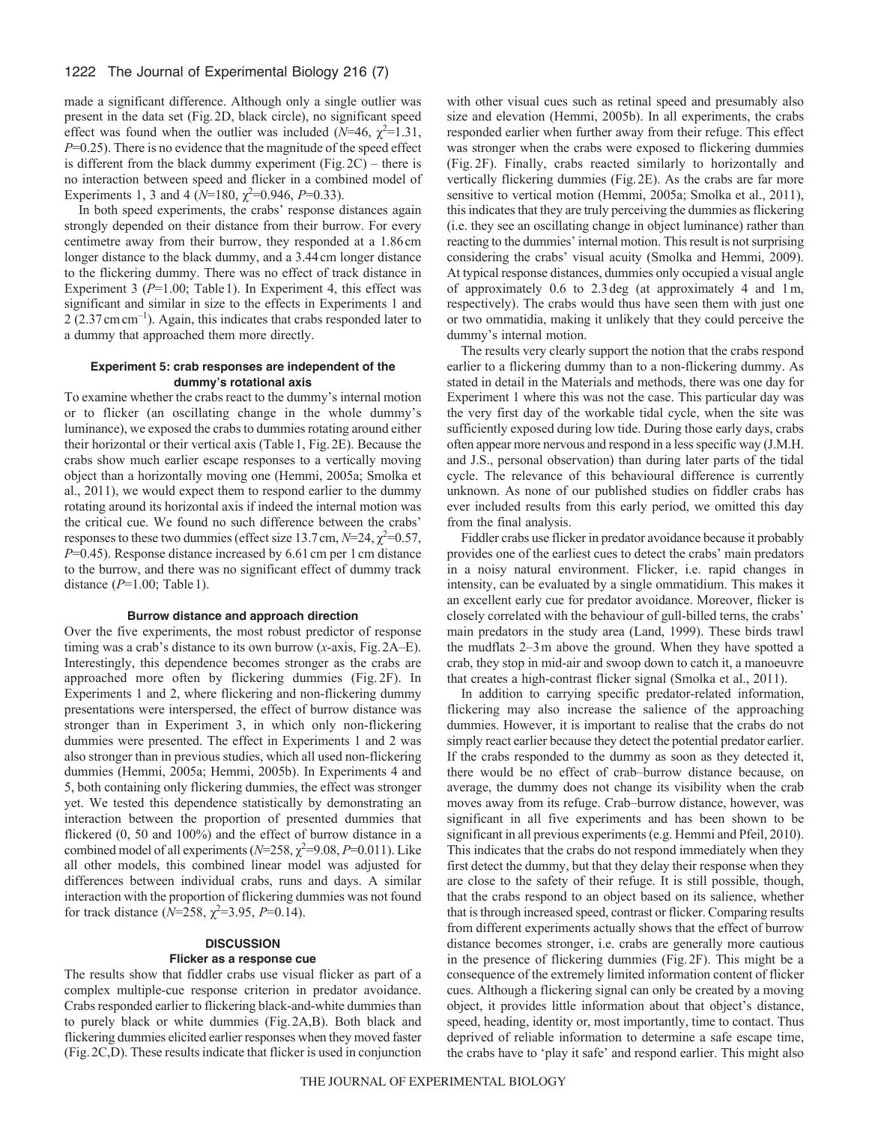made a significant difference. Although only a single outlier was present in the data set (Fig.2D, black circle), no significant speed effect was found when the outlier was included  $(N=46, \chi^2=1.31,$ *P*=0.25). There is no evidence that the magnitude of the speed effect is different from the black dummy experiment (Fig.  $2C$ ) – there is no interaction between speed and flicker in a combined model of Experiments 1, 3 and 4 ( $N=180$ ,  $\chi^2=0.946$ ,  $P=0.33$ ).

In both speed experiments, the crabs' response distances again strongly depended on their distance from their burrow. For every centimetre away from their burrow, they responded at a 1.86cm longer distance to the black dummy, and a 3.44 cm longer distance to the flickering dummy. There was no effect of track distance in Experiment 3 ( $P=1.00$ ; Table 1). In Experiment 4, this effect was significant and similar in size to the effects in Experiments 1 and 2 (2.37cmcm–1). Again, this indicates that crabs responded later to a dummy that approached them more directly.

#### **Experiment 5: crab responses are independent of the dummy's rotational axis**

To examine whether the crabs react to the dummy's internal motion or to flicker (an oscillating change in the whole dummy's luminance), we exposed the crabs to dummies rotating around either their horizontal or their vertical axis (Table1, Fig.2E). Because the crabs show much earlier escape responses to a vertically moving object than a horizontally moving one (Hemmi, 2005a; Smolka et al., 2011), we would expect them to respond earlier to the dummy rotating around its horizontal axis if indeed the internal motion was the critical cue. We found no such difference between the crabs' responses to these two dummies (effect size 13.7 cm,  $N=24$ ,  $\chi^2=0.57$ , *P*=0.45). Response distance increased by 6.61 cm per 1 cm distance to the burrow, and there was no significant effect of dummy track distance (*P*=1.00; Table1).

#### **Burrow distance and approach direction**

Over the five experiments, the most robust predictor of response timing was a crab's distance to its own burrow (*x*-axis, Fig.2A–E). Interestingly, this dependence becomes stronger as the crabs are approached more often by flickering dummies (Fig. 2F). In Experiments 1 and 2, where flickering and non-flickering dummy presentations were interspersed, the effect of burrow distance was stronger than in Experiment 3, in which only non-flickering dummies were presented. The effect in Experiments 1 and 2 was also stronger than in previous studies, which all used non-flickering dummies (Hemmi, 2005a; Hemmi, 2005b). In Experiments 4 and 5, both containing only flickering dummies, the effect was stronger yet. We tested this dependence statistically by demonstrating an interaction between the proportion of presented dummies that flickered (0, 50 and 100%) and the effect of burrow distance in a combined model of all experiments  $(N=258, \chi^2=9.08, P=0.011)$ . Like all other models, this combined linear model was adjusted for differences between individual crabs, runs and days. A similar interaction with the proportion of flickering dummies was not found for track distance  $(N=258, \chi^2=3.95, P=0.14)$ .

# **DISCUSSION**

## **Flicker as a response cue**

The results show that fiddler crabs use visual flicker as part of a complex multiple-cue response criterion in predator avoidance. Crabs responded earlier to flickering black-and-white dummies than to purely black or white dummies (Fig.2A,B). Both black and flickering dummies elicited earlier responses when they moved faster (Fig.2C,D). These results indicate that flicker is used in conjunction with other visual cues such as retinal speed and presumably also size and elevation (Hemmi, 2005b). In all experiments, the crabs responded earlier when further away from their refuge. This effect was stronger when the crabs were exposed to flickering dummies (Fig. 2F). Finally, crabs reacted similarly to horizontally and vertically flickering dummies (Fig.2E). As the crabs are far more sensitive to vertical motion (Hemmi, 2005a; Smolka et al., 2011), this indicates that they are truly perceiving the dummies as flickering (i.e. they see an oscillating change in object luminance) rather than reacting to the dummies' internal motion. This result is not surprising considering the crabs' visual acuity (Smolka and Hemmi, 2009). At typical response distances, dummies only occupied a visual angle of approximately 0.6 to 2.3deg (at approximately 4 and 1m, respectively). The crabs would thus have seen them with just one or two ommatidia, making it unlikely that they could perceive the dummy's internal motion.

The results very clearly support the notion that the crabs respond earlier to a flickering dummy than to a non-flickering dummy. As stated in detail in the Materials and methods, there was one day for Experiment 1 where this was not the case. This particular day was the very first day of the workable tidal cycle, when the site was sufficiently exposed during low tide. During those early days, crabs often appear more nervous and respond in a less specific way (J.M.H. and J.S., personal observation) than during later parts of the tidal cycle. The relevance of this behavioural difference is currently unknown. As none of our published studies on fiddler crabs has ever included results from this early period, we omitted this day from the final analysis.

Fiddler crabs use flicker in predator avoidance because it probably provides one of the earliest cues to detect the crabs' main predators in a noisy natural environment. Flicker, i.e. rapid changes in intensity, can be evaluated by a single ommatidium. This makes it an excellent early cue for predator avoidance. Moreover, flicker is closely correlated with the behaviour of gull-billed terns, the crabs' main predators in the study area (Land, 1999). These birds trawl the mudflats 2–3m above the ground. When they have spotted a crab, they stop in mid-air and swoop down to catch it, a manoeuvre that creates a high-contrast flicker signal (Smolka et al., 2011).

In addition to carrying specific predator-related information, flickering may also increase the salience of the approaching dummies. However, it is important to realise that the crabs do not simply react earlier because they detect the potential predator earlier. If the crabs responded to the dummy as soon as they detected it, there would be no effect of crab–burrow distance because, on average, the dummy does not change its visibility when the crab moves away from its refuge. Crab–burrow distance, however, was significant in all five experiments and has been shown to be significant in all previous experiments (e.g. Hemmi and Pfeil, 2010). This indicates that the crabs do not respond immediately when they first detect the dummy, but that they delay their response when they are close to the safety of their refuge. It is still possible, though, that the crabs respond to an object based on its salience, whether that is through increased speed, contrast or flicker. Comparing results from different experiments actually shows that the effect of burrow distance becomes stronger, i.e. crabs are generally more cautious in the presence of flickering dummies (Fig.2F). This might be a consequence of the extremely limited information content of flicker cues. Although a flickering signal can only be created by a moving object, it provides little information about that object's distance, speed, heading, identity or, most importantly, time to contact. Thus deprived of reliable information to determine a safe escape time, the crabs have to 'play it safe' and respond earlier. This might also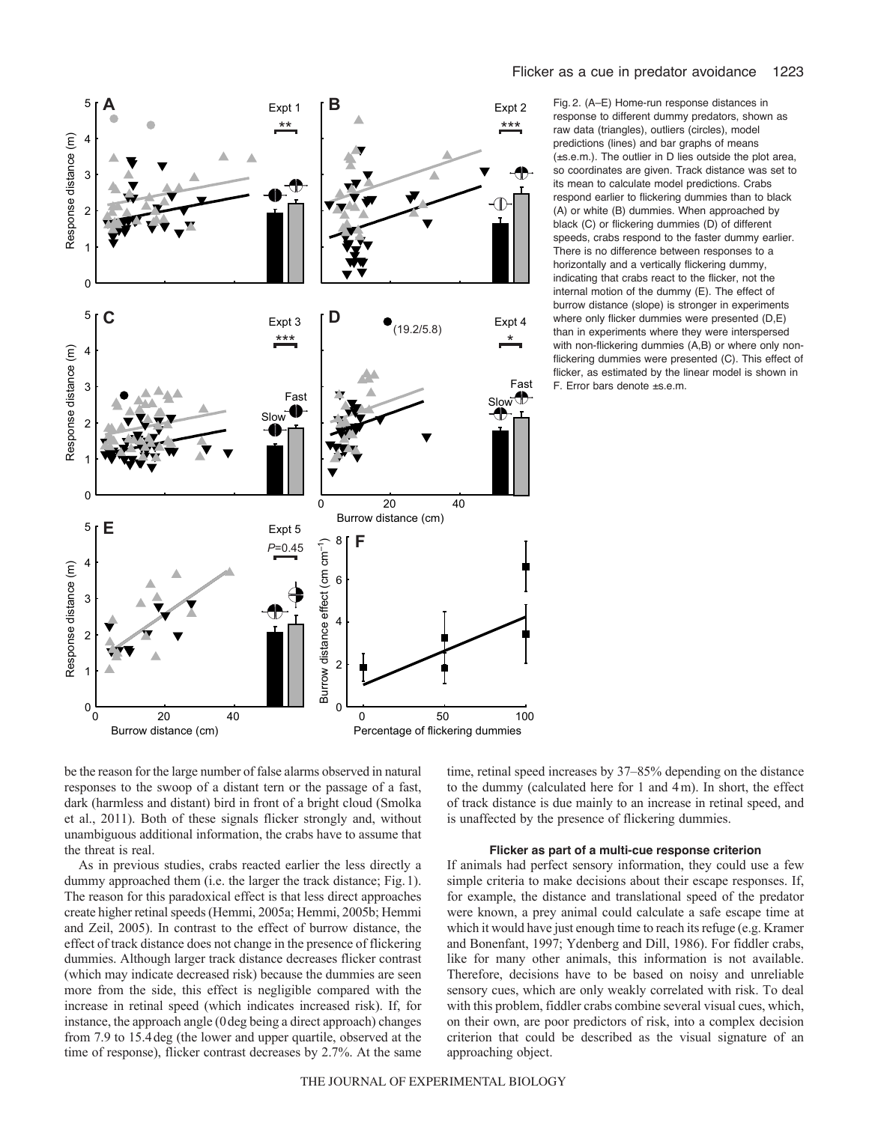

Fig. 2. (A–E) Home-run response distances in response to different dummy predators, shown as raw data (triangles), outliers (circles), model predictions (lines) and bar graphs of means (±s.e.m.). The outlier in D lies outside the plot area, so coordinates are given. Track distance was set to its mean to calculate model predictions. Crabs respond earlier to flickering dummies than to black (A) or white (B) dummies. When approached by black (C) or flickering dummies (D) of different speeds, crabs respond to the faster dummy earlier. There is no difference between responses to a horizontally and a vertically flickering dummy, indicating that crabs react to the flicker, not the internal motion of the dummy (E). The effect of burrow distance (slope) is stronger in experiments where only flicker dummies were presented (D,E) than in experiments where they were interspersed with non-flickering dummies (A,B) or where only nonflickering dummies were presented (C). This effect of flicker, as estimated by the linear model is shown in F. Error bars denote ±s.e.m.

be the reason for the large number of false alarms observed in natural responses to the swoop of a distant tern or the passage of a fast, dark (harmless and distant) bird in front of a bright cloud (Smolka et al., 2011). Both of these signals flicker strongly and, without unambiguous additional information, the crabs have to assume that the threat is real.

As in previous studies, crabs reacted earlier the less directly a dummy approached them (i.e. the larger the track distance; Fig.1). The reason for this paradoxical effect is that less direct approaches create higher retinal speeds (Hemmi, 2005a; Hemmi, 2005b; Hemmi and Zeil, 2005). In contrast to the effect of burrow distance, the effect of track distance does not change in the presence of flickering dummies. Although larger track distance decreases flicker contrast (which may indicate decreased risk) because the dummies are seen more from the side, this effect is negligible compared with the increase in retinal speed (which indicates increased risk). If, for instance, the approach angle (0deg being a direct approach) changes from 7.9 to 15.4deg (the lower and upper quartile, observed at the time of response), flicker contrast decreases by 2.7%. At the same time, retinal speed increases by 37–85% depending on the distance to the dummy (calculated here for 1 and 4m). In short, the effect of track distance is due mainly to an increase in retinal speed, and is unaffected by the presence of flickering dummies.

#### **Flicker as part of a multi-cue response criterion**

If animals had perfect sensory information, they could use a few simple criteria to make decisions about their escape responses. If, for example, the distance and translational speed of the predator were known, a prey animal could calculate a safe escape time at which it would have just enough time to reach its refuge (e.g. Kramer and Bonenfant, 1997; Ydenberg and Dill, 1986). For fiddler crabs, like for many other animals, this information is not available. Therefore, decisions have to be based on noisy and unreliable sensory cues, which are only weakly correlated with risk. To deal with this problem, fiddler crabs combine several visual cues, which, on their own, are poor predictors of risk, into a complex decision criterion that could be described as the visual signature of an approaching object.